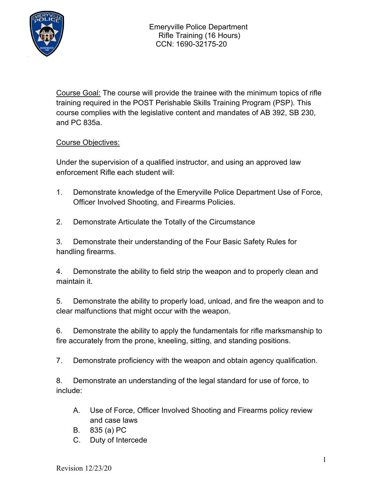

Course Goal: The course will provide the trainee with the minimum topics of rifle training required in the POST Perishable Skills Training Program (PSP). This course complies with the legislative content and mandates of AB 392, SB 230, and PC 835a.

# Course Objectives:

Under the supervision of a qualified instructor, and using an approved law enforcement Rifle each student will:

- 1. Demonstrate knowledge of the Emeryville Police Department Use of Force, Officer Involved Shooting, and Firearms Policies.
- 2. Demonstrate Articulate the Totally of the Circumstance

3. Demonstrate their understanding of the Four Basic Safety Rules for handling firearms.

4. Demonstrate the ability to field strip the weapon and to properly clean and maintain it.

5. Demonstrate the ability to properly load, unload, and fire the weapon and to clear malfunctions that might occur with the weapon.

6. Demonstrate the ability to apply the fundamentals for rifle marksmanship to fire accurately from the prone, kneeling, sitting, and standing positions.

7. Demonstrate proficiency with the weapon and obtain agency qualification.

8. Demonstrate an understanding of the legal standard for use of force, to include:

- A. Use of Force, Officer Involved Shooting and Firearms policy review and case laws
- B. 835 (a) PC
- C. Duty of Intercede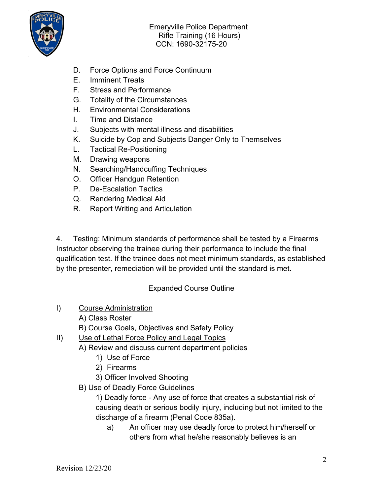

- D. Force Options and Force Continuum
- E. Imminent Treats
- F. Stress and Performance
- G. Totality of the Circumstances
- H. Environmental Considerations
- I. Time and Distance
- J. Subjects with mental illness and disabilities
- K. Suicide by Cop and Subjects Danger Only to Themselves
- L. Tactical Re-Positioning
- M. Drawing weapons
- N. Searching/Handcuffing Techniques
- O. Officer Handgun Retention
- P. De-Escalation Tactics
- Q. Rendering Medical Aid
- R. Report Writing and Articulation

4. Testing: Minimum standards of performance shall be tested by a Firearms Instructor observing the trainee during their performance to include the final qualification test. If the trainee does not meet minimum standards, as established by the presenter, remediation will be provided until the standard is met.

# Expanded Course Outline

- I) Course Administration
	- A) Class Roster
	- B) Course Goals, Objectives and Safety Policy
- II) Use of Lethal Force Policy and Legal Topics
	- A) Review and discuss current department policies
		- 1) Use of Force
		- 2) Firearms
		- 3) Officer Involved Shooting
		- B) Use of Deadly Force Guidelines

1) Deadly force - Any use of force that creates a substantial risk of causing death or serious bodily injury, including but not limited to the discharge of a firearm (Penal Code 835a).

a) An officer may use deadly force to protect him/herself or others from what he/she reasonably believes is an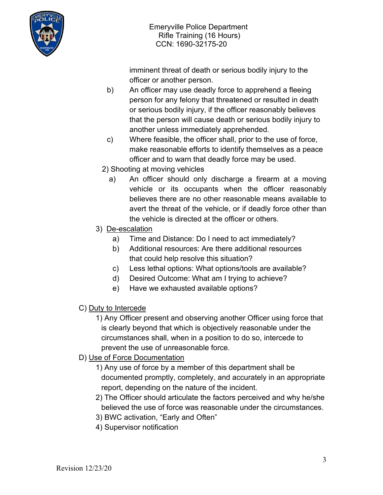

imminent threat of death or serious bodily injury to the officer or another person.

- b) An officer may use deadly force to apprehend a fleeing person for any felony that threatened or resulted in death or serious bodily injury, if the officer reasonably believes that the person will cause death or serious bodily injury to another unless immediately apprehended.
- c) Where feasible, the officer shall, prior to the use of force, make reasonable efforts to identify themselves as a peace officer and to warn that deadly force may be used.
- 2) Shooting at moving vehicles
	- a) An officer should only discharge a firearm at a moving vehicle or its occupants when the officer reasonably believes there are no other reasonable means available to avert the threat of the vehicle, or if deadly force other than the vehicle is directed at the officer or others.
- 3) De-escalation
	- a) Time and Distance: Do I need to act immediately?
	- b) Additional resources: Are there additional resources that could help resolve this situation?
	- c) Less lethal options: What options/tools are available?
	- d) Desired Outcome: What am I trying to achieve?
	- e) Have we exhausted available options?
- C) Duty to Intercede
	- 1) Any Officer present and observing another Officer using force that is clearly beyond that which is objectively reasonable under the circumstances shall, when in a position to do so, intercede to prevent the use of unreasonable force.
- D) Use of Force Documentation
	- 1) Any use of force by a member of this department shall be documented promptly, completely, and accurately in an appropriate report, depending on the nature of the incident.
	- 2) The Officer should articulate the factors perceived and why he/she believed the use of force was reasonable under the circumstances.
	- 3) BWC activation, "Early and Often"
	- 4) Supervisor notification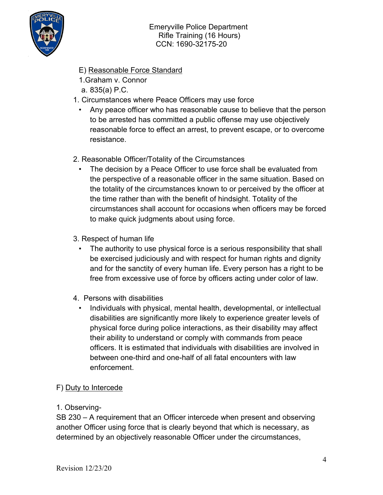

- E) Reasonable Force Standard
- 1.Graham v. Connor
- a. 835(a) P.C.
- 1. Circumstances where Peace Officers may use force
	- Any peace officer who has reasonable cause to believe that the person to be arrested has committed a public offense may use objectively reasonable force to effect an arrest, to prevent escape, or to overcome resistance.
- 2. Reasonable Officer/Totality of the Circumstances
	- The decision by a Peace Officer to use force shall be evaluated from the perspective of a reasonable officer in the same situation. Based on the totality of the circumstances known to or perceived by the officer at the time rather than with the benefit of hindsight. Totality of the circumstances shall account for occasions when officers may be forced to make quick judgments about using force.
- 3. Respect of human life
	- The authority to use physical force is a serious responsibility that shall be exercised judiciously and with respect for human rights and dignity and for the sanctity of every human life. Every person has a right to be free from excessive use of force by officers acting under color of law.
- 4. Persons with disabilities
	- Individuals with physical, mental health, developmental, or intellectual disabilities are significantly more likely to experience greater levels of physical force during police interactions, as their disability may affect their ability to understand or comply with commands from peace officers. It is estimated that individuals with disabilities are involved in between one-third and one-half of all fatal encounters with law enforcement.

# F) Duty to Intercede

## 1. Observing-

SB 230 – A requirement that an Officer intercede when present and observing another Officer using force that is clearly beyond that which is necessary, as determined by an objectively reasonable Officer under the circumstances,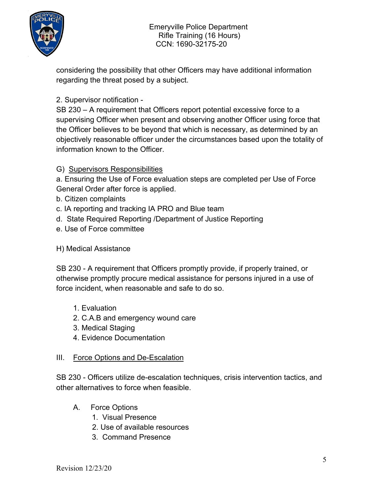

considering the possibility that other Officers may have additional information regarding the threat posed by a subject.

# 2. Supervisor notification -

SB 230 – A requirement that Officers report potential excessive force to a supervising Officer when present and observing another Officer using force that the Officer believes to be beyond that which is necessary, as determined by an objectively reasonable officer under the circumstances based upon the totality of information known to the Officer.

## G) Supervisors Responsibilities

a. Ensuring the Use of Force evaluation steps are completed per Use of Force General Order after force is applied.

- b. Citizen complaints
- c. IA reporting and tracking IA PRO and Blue team
- d. State Required Reporting /Department of Justice Reporting
- e. Use of Force committee

## H) Medical Assistance

SB 230 - A requirement that Officers promptly provide, if properly trained, or otherwise promptly procure medical assistance for persons injured in a use of force incident, when reasonable and safe to do so.

- 1. Evaluation
- 2. C.A.B and emergency wound care
- 3. Medical Staging
- 4. Evidence Documentation

## III. Force Options and De-Escalation

SB 230 - Officers utilize de-escalation techniques, crisis intervention tactics, and other alternatives to force when feasible.

- A. Force Options
	- 1. Visual Presence
	- 2. Use of available resources
	- 3. Command Presence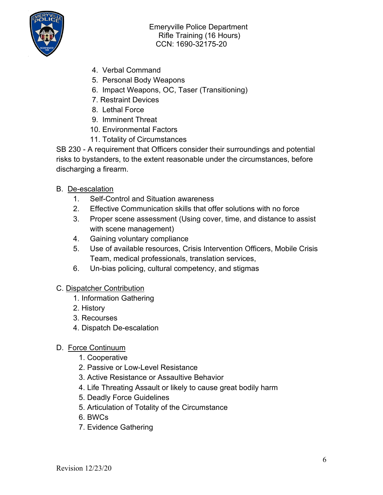

- 4. Verbal Command
- 5. Personal Body Weapons
- 6. Impact Weapons, OC, Taser (Transitioning)
- 7. Restraint Devices
- 8. Lethal Force
- 9. Imminent Threat
- 10. Environmental Factors
- 11. Totality of Circumstances

SB 230 - A requirement that Officers consider their surroundings and potential risks to bystanders, to the extent reasonable under the circumstances, before discharging a firearm.

- B. De-escalation
	- 1. Self-Control and Situation awareness
	- 2. Effective Communication skills that offer solutions with no force
	- 3. Proper scene assessment (Using cover, time, and distance to assist with scene management)
	- 4. Gaining voluntary compliance
	- 5. Use of available resources, Crisis Intervention Officers, Mobile Crisis Team, medical professionals, translation services,
	- 6. Un-bias policing, cultural competency, and stigmas

## C. Dispatcher Contribution

- 1. Information Gathering
- 2. History
- 3. Recourses
- 4. Dispatch De-escalation
- D. Force Continuum
	- 1. Cooperative
	- 2. Passive or Low-Level Resistance
	- 3. Active Resistance or Assaultive Behavior
	- 4. Life Threating Assault or likely to cause great bodily harm
	- 5. Deadly Force Guidelines
	- 5. Articulation of Totality of the Circumstance
	- 6. BWCs
	- 7. Evidence Gathering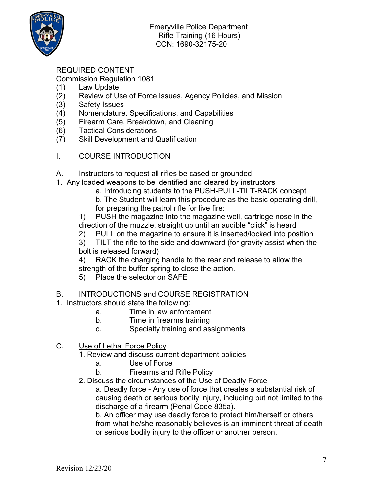

# REQUIRED CONTENT

Commission Regulation 1081

- (1) Law Update
- (2) Review of Use of Force Issues, Agency Policies, and Mission
- (3) Safety Issues
- (4) Nomenclature, Specifications, and Capabilities
- (5) Firearm Care, Breakdown, and Cleaning
- (6) Tactical Considerations
- (7) Skill Development and Qualification

#### I. COURSE INTRODUCTION

- A. Instructors to request all rifles be cased or grounded
- 1. Any loaded weapons to be identified and cleared by instructors
	- a. Introducing students to the PUSH-PULL-TILT-RACK concept
	- b. The Student will learn this procedure as the basic operating drill, for preparing the patrol rifle for live fire:

1) PUSH the magazine into the magazine well, cartridge nose in the direction of the muzzle, straight up until an audible "click" is heard

2) PULL on the magazine to ensure it is inserted/locked into position

3) TILT the rifle to the side and downward (for gravity assist when the bolt is released forward)

4) RACK the charging handle to the rear and release to allow the strength of the buffer spring to close the action.

5) Place the selector on SAFE

#### B. INTRODUCTIONS and COURSE REGISTRATION

- 1. Instructors should state the following:
	- a. Time in law enforcement
	- b. Time in firearms training
	- c. Specialty training and assignments
- C. Use of Lethal Force Policy
	- 1. Review and discuss current department policies
		- a. Use of Force
		- b. Firearms and Rifle Policy
	- 2. Discuss the circumstances of the Use of Deadly Force

a. Deadly force - Any use of force that creates a substantial risk of causing death or serious bodily injury, including but not limited to the discharge of a firearm (Penal Code 835a).

b. An officer may use deadly force to protect him/herself or others from what he/she reasonably believes is an imminent threat of death or serious bodily injury to the officer or another person.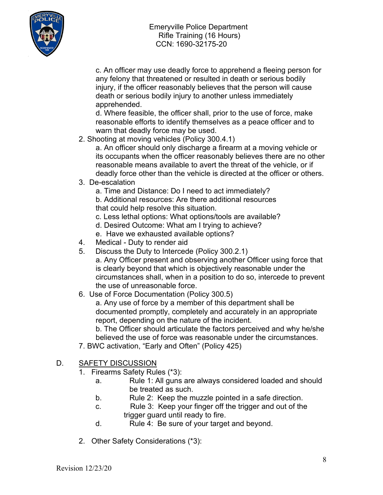

c. An officer may use deadly force to apprehend a fleeing person for any felony that threatened or resulted in death or serious bodily injury, if the officer reasonably believes that the person will cause death or serious bodily injury to another unless immediately apprehended.

d. Where feasible, the officer shall, prior to the use of force, make reasonable efforts to identify themselves as a peace officer and to warn that deadly force may be used.

2. Shooting at moving vehicles (Policy 300.4.1)

a. An officer should only discharge a firearm at a moving vehicle or its occupants when the officer reasonably believes there are no other reasonable means available to avert the threat of the vehicle, or if deadly force other than the vehicle is directed at the officer or others.

3. De-escalation

a. Time and Distance: Do I need to act immediately?

b. Additional resources: Are there additional resources that could help resolve this situation.

- c. Less lethal options: What options/tools are available?
- d. Desired Outcome: What am I trying to achieve?
- e. Have we exhausted available options?
- 4. Medical Duty to render aid
- 5. Discuss the Duty to Intercede (Policy 300.2.1)
	- a. Any Officer present and observing another Officer using force that is clearly beyond that which is objectively reasonable under the circumstances shall, when in a position to do so, intercede to prevent the use of unreasonable force.
- 6. Use of Force Documentation (Policy 300.5)

a. Any use of force by a member of this department shall be documented promptly, completely and accurately in an appropriate report, depending on the nature of the incident.

b. The Officer should articulate the factors perceived and why he/she believed the use of force was reasonable under the circumstances.

- 7. BWC activation, "Early and Often" (Policy 425)
- D. SAFETY DISCUSSION
	- 1. Firearms Safety Rules (\*3):
		- a. Rule 1: All guns are always considered loaded and should be treated as such.
		- b. Rule 2: Keep the muzzle pointed in a safe direction.
		- c. Rule 3: Keep your finger off the trigger and out of the trigger guard until ready to fire.
		- d. Rule 4: Be sure of your target and beyond.
	- 2. Other Safety Considerations (\*3):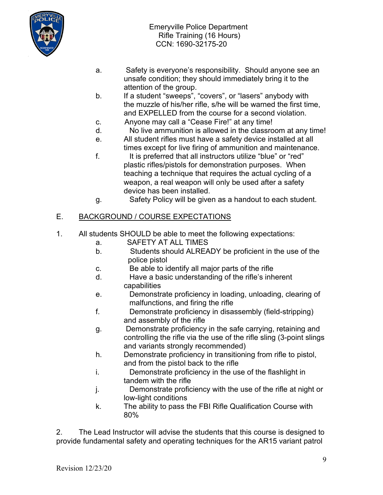

- a. Safety is everyone's responsibility. Should anyone see an unsafe condition; they should immediately bring it to the attention of the group.
- b. If a student "sweeps", "covers", or "lasers" anybody with the muzzle of his/her rifle, s/he will be warned the first time, and EXPELLED from the course for a second violation.
- c. Anyone may call a "Cease Fire!" at any time!
- d. No live ammunition is allowed in the classroom at any time!
- e. All student rifles must have a safety device installed at all times except for live firing of ammunition and maintenance.
- f. It is preferred that all instructors utilize "blue" or "red" plastic rifles/pistols for demonstration purposes. When teaching a technique that requires the actual cycling of a weapon, a real weapon will only be used after a safety device has been installed.
- g. Safety Policy will be given as a handout to each student.

#### E. BACKGROUND / COURSE EXPECTATIONS

- 1. All students SHOULD be able to meet the following expectations:
	- a. SAFETY AT ALL TIMES
	- b. Students should ALREADY be proficient in the use of the police pistol
	- c. Be able to identify all major parts of the rifle
	- d. Have a basic understanding of the rifle's inherent capabilities
	- e. Demonstrate proficiency in loading, unloading, clearing of malfunctions, and firing the rifle
	- f. Demonstrate proficiency in disassembly (field-stripping) and assembly of the rifle
	- g. Demonstrate proficiency in the safe carrying, retaining and controlling the rifle via the use of the rifle sling (3-point slings and variants strongly recommended)
	- h. Demonstrate proficiency in transitioning from rifle to pistol, and from the pistol back to the rifle
	- i. Demonstrate proficiency in the use of the flashlight in tandem with the rifle
	- j. Demonstrate proficiency with the use of the rifle at night or low-light conditions
	- k. The ability to pass the FBI Rifle Qualification Course with 80%

2. The Lead Instructor will advise the students that this course is designed to provide fundamental safety and operating techniques for the AR15 variant patrol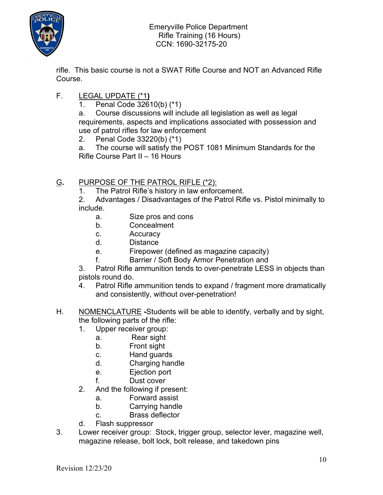

rifle. This basic course is not a SWAT Rifle Course and NOT an Advanced Rifle Course.

# F. LEGAL UPDATE (\*1**)**

1. Penal Code 32610(b) (\*1)

a. Course discussions will include all legislation as well as legal requirements, aspects and implications associated with possession and use of patrol rifles for law enforcement

2. Penal Code 33220(b) (\*1)

a. The course will satisfy the POST 1081 Minimum Standards for the Rifle Course Part II – 16 Hours

# G**.** PURPOSE OF THE PATROL RIFLE (\*2):

1. The Patrol Rifle's history in law enforcement.

2. Advantages / Disadvantages of the Patrol Rifle vs. Pistol minimally to include.

- a. Size pros and cons
- b. Concealment
- c. Accuracy
- d. Distance
- e. Firepower (defined as magazine capacity)
- f. Barrier / Soft Body Armor Penetration and

3. Patrol Rifle ammunition tends to over-penetrate LESS in objects than pistols round do.

- 4. Patrol Rifle ammunition tends to expand / fragment more dramatically and consistently, without over-penetration!
- H. NOMENCLATURE **-**Students will be able to identify, verbally and by sight, the following parts of the rifle:
	- 1. Upper receiver group:
		- a. Rear sight
		- b. Front sight
		- c. Hand guards
		- d. Charging handle
		- e. Ejection port
		- f. Dust cover
	- 2. And the following if present:
		- a. Forward assist
		- b. Carrying handle
		- c. Brass deflector
	- d. Flash suppressor
- 3. Lower receiver group: Stock, trigger group, selector lever, magazine well, magazine release, bolt lock, bolt release, and takedown pins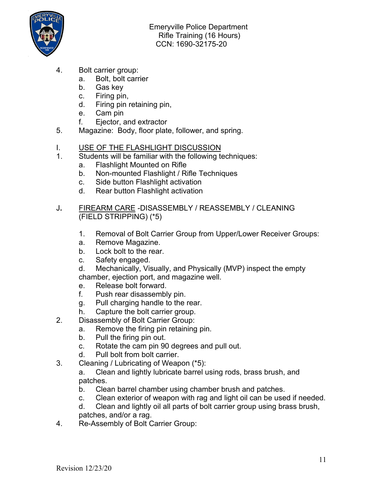

- 4. Bolt carrier group:
	- a. Bolt, bolt carrier
	- b. Gas key
	- c. Firing pin,
	- d. Firing pin retaining pin,
	- e. Cam pin
	- f. Ejector, and extractor
- 5. Magazine: Body, floor plate, follower, and spring.
- I. USE OF THE FLASHLIGHT DISCUSSION
- 1. Students will be familiar with the following techniques:
	- a. Flashlight Mounted on Rifle
	- b. Non-mounted Flashlight / Rifle Techniques
	- c. Side button Flashlight activation
	- d. Rear button Flashlight activation
- J**.** FIREARM CARE -DISASSEMBLY / REASSEMBLY / CLEANING (FIELD STRIPPING) (\*5)
	- 1. Removal of Bolt Carrier Group from Upper/Lower Receiver Groups:
	- a. Remove Magazine.
	- b. Lock bolt to the rear.
	- c. Safety engaged.
	- d. Mechanically, Visually, and Physically (MVP) inspect the empty chamber, ejection port, and magazine well.
	- e. Release bolt forward.
	- f. Push rear disassembly pin.
	- g. Pull charging handle to the rear.
	- h. Capture the bolt carrier group.
- 2. Disassembly of Bolt Carrier Group:
	- a. Remove the firing pin retaining pin.
	- b. Pull the firing pin out.
	- c. Rotate the cam pin 90 degrees and pull out.
	- d. Pull bolt from bolt carrier.
- 3. Cleaning / Lubricating of Weapon (\*5):
	- a. Clean and lightly lubricate barrel using rods, brass brush, and patches.
	- b. Clean barrel chamber using chamber brush and patches.
	- c. Clean exterior of weapon with rag and light oil can be used if needed.
	- d. Clean and lightly oil all parts of bolt carrier group using brass brush, patches, and/or a rag.
- 4. Re-Assembly of Bolt Carrier Group: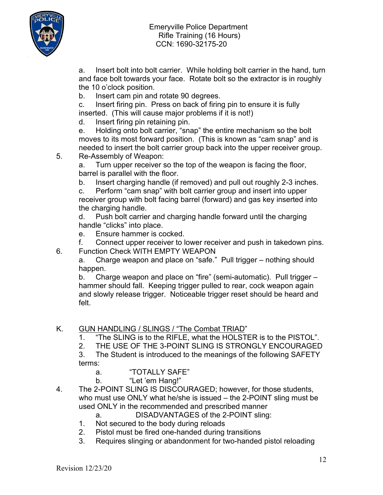



a. Insert bolt into bolt carrier. While holding bolt carrier in the hand, turn and face bolt towards your face. Rotate bolt so the extractor is in roughly the 10 o'clock position.

b. Insert cam pin and rotate 90 degrees.

c. Insert firing pin. Press on back of firing pin to ensure it is fully inserted. (This will cause major problems if it is not!)

d. Insert firing pin retaining pin.

e. Holding onto bolt carrier, "snap" the entire mechanism so the bolt moves to its most forward position. (This is known as "cam snap" and is needed to insert the bolt carrier group back into the upper receiver group.

5. Re-Assembly of Weapon:

a. Turn upper receiver so the top of the weapon is facing the floor, barrel is parallel with the floor.

b. Insert charging handle (if removed) and pull out roughly 2-3 inches.

c. Perform "cam snap" with bolt carrier group and insert into upper receiver group with bolt facing barrel (forward) and gas key inserted into the charging handle.

d. Push bolt carrier and charging handle forward until the charging handle "clicks" into place.

e. Ensure hammer is cocked.

f. Connect upper receiver to lower receiver and push in takedown pins.

6. Function Check WITH EMPTY WEAPON

a. Charge weapon and place on "safe." Pull trigger – nothing should happen.

b. Charge weapon and place on "fire" (semi-automatic). Pull trigger – hammer should fall. Keeping trigger pulled to rear, cock weapon again and slowly release trigger. Noticeable trigger reset should be heard and felt.

## K. GUN HANDLING / SLINGS / "The Combat TRIAD"

- 1. "The SLING is to the RIFLE, what the HOLSTER is to the PISTOL".
- 2. THE USE OF THE 3-POINT SLING IS STRONGLY ENCOURAGED

3. The Student is introduced to the meanings of the following SAFETY terms:

- a. "TOTALLY SAFE"
- b. "Let 'em Hang!"
- 4. The 2-POINT SLING IS DISCOURAGED; however, for those students, who must use ONLY what he/she is issued – the 2-POINT sling must be used ONLY in the recommended and prescribed manner

a. DISADVANTAGES of the 2-POINT sling:

- 1. Not secured to the body during reloads
- 2. Pistol must be fired one-handed during transitions
- 3. Requires slinging or abandonment for two-handed pistol reloading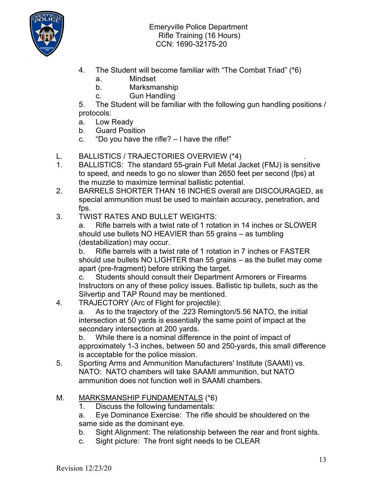

- 4. The Student will become familiar with "The Combat Triad" (\*6)
	- a. Mindset
	- b. Marksmanship
	- c. Gun Handling

5. The Student will be familiar with the following gun handling positions / protocols:

- a. Low Ready
- b. Guard Position
- c. "Do you have the rifle?  $-1$  have the rifle!"

#### L. BALLISTICS / TRAJECTORIES OVERVIEW (\*4) .

- 1. BALLISTICS: The standard 55-grain Full Metal Jacket (FMJ) is sensitive to speed, and needs to go no slower than 2650 feet per second (fps) at the muzzle to maximize terminal ballistic potential.
- 2. BARRELS SHORTER THAN 16 INCHES overall are DISCOURAGED, as special ammunition must be used to maintain accuracy, penetration, and fps.
- 3. TWIST RATES AND BULLET WEIGHTS:

a. Rifle barrels with a twist rate of 1 rotation in 14 inches or SLOWER should use bullets NO HEAVIER than 55 grains – as tumbling (destabilization) may occur.

b. Rifle barrels with a twist rate of 1 rotation in 7 inches or FASTER should use bullets NO LIGHTER than 55 grains – as the bullet may come apart (pre-fragment) before striking the target.

c. Students should consult their Department Armorers or Firearms Instructors on any of these policy issues. Ballistic tip bullets, such as the Silvertip and TAP Round may be mentioned.

4. TRAJECTORY (Arc of Flight for projectile):

a. As to the trajectory of the .223 Remington/5.56 NATO, the initial intersection at 50 yards is essentially the same point of impact at the secondary intersection at 200 yards.

b. While there is a nominal difference in the point of impact of approximately 1-3 inches, between 50 and 250-yards, this small difference is acceptable for the police mission.

5. Sporting Arms and Ammunition Manufacturers' Institute (SAAMI) vs. NATO: NATO chambers will take SAAMI ammunition, but NATO ammunition does not function well in SAAMI chambers.

#### M. MARKSMANSHIP FUNDAMENTALS (\*6)

- 1. Discuss the following fundamentals:
- a. Eye Dominance Exercise: The rifle should be shouldered on the same side as the dominant eye.
- b. Sight Alignment: The relationship between the rear and front sights.
- c. Sight picture: The front sight needs to be CLEAR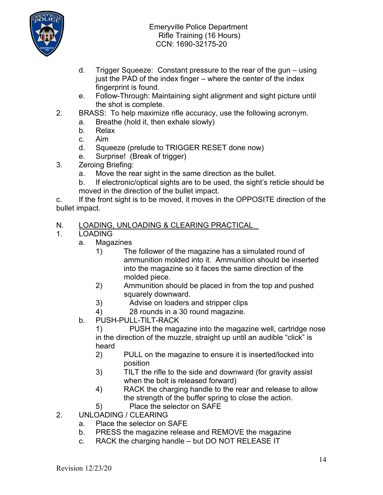

- d. Trigger Squeeze: Constant pressure to the rear of the gun using just the PAD of the index finger – where the center of the index fingerprint is found.
- e. Follow-Through: Maintaining sight alignment and sight picture until the shot is complete.
- 2. BRASS: To help maximize rifle accuracy, use the following acronym.
	- a. Breathe (hold it, then exhale slowly)
	- b. Relax
	- c. Aim
	- d. Squeeze (prelude to TRIGGER RESET done now)
	- e. Surprise! (Break of trigger)
- 3. Zeroing Briefing:
	- a. Move the rear sight in the same direction as the bullet.
	- b. If electronic/optical sights are to be used, the sight's reticle should be moved in the direction of the bullet impact.

c. If the front sight is to be moved, it moves in the OPPOSITE direction of the bullet impact.

# N. LOADING, UNLOADING & CLEARING PRACTICAL<br>1. LOADING

- 1. LOADING
	- a. Magazines
		- 1) The follower of the magazine has a simulated round of ammunition molded into it. Ammunition should be inserted into the magazine so it faces the same direction of the molded piece.
		- 2) Ammunition should be placed in from the top and pushed squarely downward.
		- 3) Advise on loaders and stripper clips
		- 4) 28 rounds in a 30 round magazine.
	- b. PUSH-PULL-TILT-RACK

1) PUSH the magazine into the magazine well, cartridge nose in the direction of the muzzle, straight up until an audible "click" is heard

- 2) PULL on the magazine to ensure it is inserted/locked into position
- 3) TILT the rifle to the side and downward (for gravity assist when the bolt is released forward)
- 4) RACK the charging handle to the rear and release to allow the strength of the buffer spring to close the action.
- 5) Place the selector on SAFE
- 2. UNLOADING / CLEARING
	- a. Place the selector on SAFE
	- b. PRESS the magazine release and REMOVE the magazine
	- c. RACK the charging handle but DO NOT RELEASE IT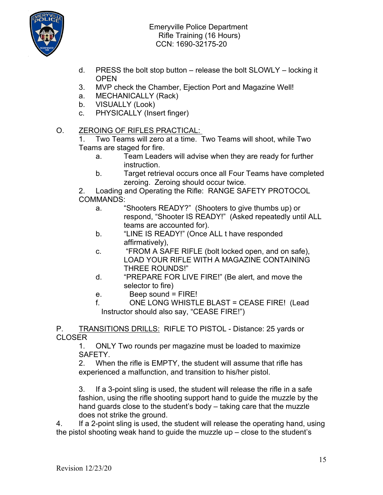

- d. PRESS the bolt stop button release the bolt SLOWLY locking it **OPEN**
- 3. MVP check the Chamber, Ejection Port and Magazine Well!
- a. MECHANICALLY (Rack)
- b. VISUALLY (Look)
- c. PHYSICALLY (Insert finger)
- O. ZEROING OF RIFLES PRACTICAL:

1. Two Teams will zero at a time. Two Teams will shoot, while Two Teams are staged for fire.

- a. Team Leaders will advise when they are ready for further instruction.
- b. Target retrieval occurs once all Four Teams have completed zeroing. Zeroing should occur twice.

2. Loading and Operating the Rifle: RANGE SAFETY PROTOCOL COMMANDS:

- a. "Shooters READY?" (Shooters to give thumbs up) or respond, "Shooter IS READY!" (Asked repeatedly until ALL teams are accounted for).
- b. "LINE IS READY!" (Once ALL t have responded affirmatively),
- c. "FROM A SAFE RIFLE (bolt locked open, and on safe), LOAD YOUR RIFLE WITH A MAGAZINE CONTAINING THREE ROUNDS!"
- d. "PREPARE FOR LIVE FIRE!" (Be alert, and move the selector to fire)
- e. Beep sound = FIRE!
- f. ONE LONG WHISTLE BLAST = CEASE FIRE! (Lead Instructor should also say, "CEASE FIRE!")

P. TRANSITIONS DRILLS: RIFLE TO PISTOL - Distance: 25 yards or CLOSER

1. ONLY Two rounds per magazine must be loaded to maximize SAFETY.

2. When the rifle is EMPTY, the student will assume that rifle has experienced a malfunction, and transition to his/her pistol.

3. If a 3-point sling is used, the student will release the rifle in a safe fashion, using the rifle shooting support hand to guide the muzzle by the hand guards close to the student's body – taking care that the muzzle does not strike the ground.

4. If a 2-point sling is used, the student will release the operating hand, using the pistol shooting weak hand to guide the muzzle  $up$  – close to the student's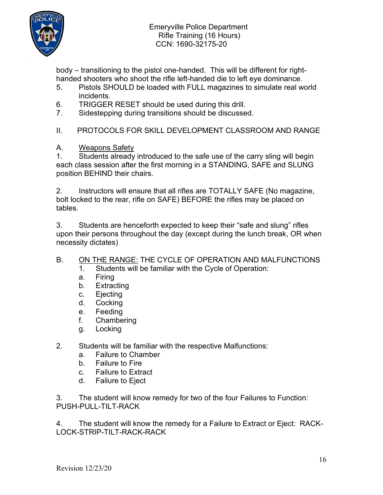

body – transitioning to the pistol one-handed. This will be different for righthanded shooters who shoot the rifle left-handed die to left eye dominance.

- 5. Pistols SHOULD be loaded with FULL magazines to simulate real world incidents.
- 6. TRIGGER RESET should be used during this drill.
- 7. Sidestepping during transitions should be discussed.

II. PROTOCOLS FOR SKILL DEVELOPMENT CLASSROOM AND RANGE

A. Weapons Safety

1. Students already introduced to the safe use of the carry sling will begin each class session after the first morning in a STANDING, SAFE and SLUNG position BEHIND their chairs.

2. Instructors will ensure that all rifles are TOTALLY SAFE (No magazine, bolt locked to the rear, rifle on SAFE) BEFORE the rifles may be placed on tables.

3. Students are henceforth expected to keep their "safe and slung" rifles upon their persons throughout the day (except during the lunch break, OR when necessity dictates)

# B. ON THE RANGE: THE CYCLE OF OPERATION AND MALFUNCTIONS

- 1. Students will be familiar with the Cycle of Operation:
- a. Firing
- b. Extracting
- c. Ejecting
- d. Cocking
- e. Feeding
- f. Chambering
- g. Locking
- 2. Students will be familiar with the respective Malfunctions:
	- a. Failure to Chamber
	- b. Failure to Fire
	- c. Failure to Extract
	- d. Failure to Eject

3. The student will know remedy for two of the four Failures to Function: PUSH-PULL-TILT-RACK

4. The student will know the remedy for a Failure to Extract or Eject: RACK-LOCK-STRIP-TILT-RACK-RACK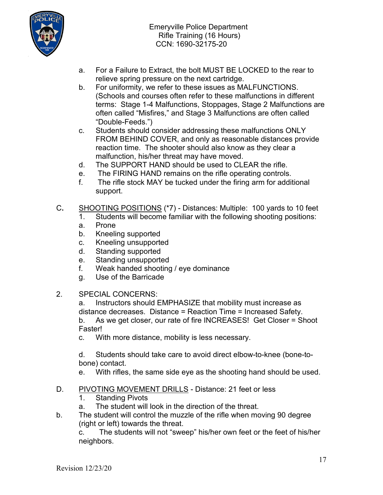

- a. For a Failure to Extract, the bolt MUST BE LOCKED to the rear to relieve spring pressure on the next cartridge.
- b. For uniformity, we refer to these issues as MALFUNCTIONS. (Schools and courses often refer to these malfunctions in different terms: Stage 1-4 Malfunctions, Stoppages, Stage 2 Malfunctions are often called "Misfires," and Stage 3 Malfunctions are often called "Double-Feeds.")
- c. Students should consider addressing these malfunctions ONLY FROM BEHIND COVER, and only as reasonable distances provide reaction time. The shooter should also know as they clear a malfunction, his/her threat may have moved.
- d. The SUPPORT HAND should be used to CLEAR the rifle.
- e. The FIRING HAND remains on the rifle operating controls.
- f. The rifle stock MAY be tucked under the firing arm for additional support.
- C**.** SHOOTING POSITIONS (\*7) Distances: Multiple: 100 yards to 10 feet
	- 1. Students will become familiar with the following shooting positions:
	- a. Prone
	- b. Kneeling supported
	- c. Kneeling unsupported
	- d. Standing supported
	- e. Standing unsupported
	- f. Weak handed shooting / eye dominance
	- g. Use of the Barricade
- 2. SPECIAL CONCERNS:

a. Instructors should EMPHASIZE that mobility must increase as distance decreases. Distance = Reaction Time = Increased Safety. b. As we get closer, our rate of fire INCREASES! Get Closer = Shoot

Faster!

c. With more distance, mobility is less necessary.

d. Students should take care to avoid direct elbow-to-knee (bone-tobone) contact.

- e. With rifles, the same side eye as the shooting hand should be used.
- D. PIVOTING MOVEMENT DRILLS Distance: 21 feet or less
	- 1. Standing Pivots
	- a. The student will look in the direction of the threat.
- b. The student will control the muzzle of the rifle when moving 90 degree (right or left) towards the threat.

c. The students will not "sweep" his/her own feet or the feet of his/her neighbors.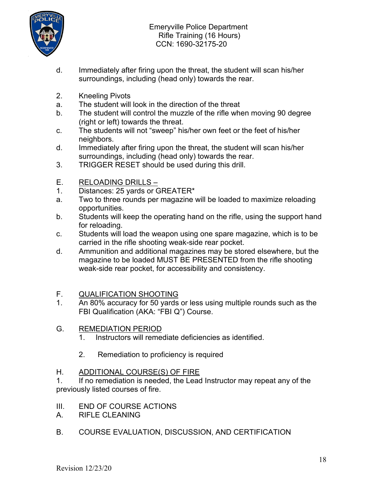

- d. Immediately after firing upon the threat, the student will scan his/her surroundings, including (head only) towards the rear.
- 2. Kneeling Pivots
- a. The student will look in the direction of the threat
- b. The student will control the muzzle of the rifle when moving 90 degree (right or left) towards the threat.
- c. The students will not "sweep" his/her own feet or the feet of his/her neighbors.
- d. Immediately after firing upon the threat, the student will scan his/her surroundings, including (head only) towards the rear.
- 3. TRIGGER RESET should be used during this drill.
- E. RELOADING DRILLS –
- 1. Distances: 25 yards or GREATER\*
- a. Two to three rounds per magazine will be loaded to maximize reloading opportunities.
- b. Students will keep the operating hand on the rifle, using the support hand for reloading.
- c. Students will load the weapon using one spare magazine, which is to be carried in the rifle shooting weak-side rear pocket.
- d. Ammunition and additional magazines may be stored elsewhere, but the magazine to be loaded MUST BE PRESENTED from the rifle shooting weak-side rear pocket, for accessibility and consistency.

#### F. QUALIFICATION SHOOTING

- 1. An 80% accuracy for 50 yards or less using multiple rounds such as the FBI Qualification (AKA: "FBI Q") Course.
- G. REMEDIATION PERIOD
	- 1. Instructors will remediate deficiencies as identified.
	- 2. Remediation to proficiency is required
- H. ADDITIONAL COURSE(S) OF FIRE

1. If no remediation is needed, the Lead Instructor may repeat any of the previously listed courses of fire.

- III. END OF COURSE ACTIONS
- A. RIFLE CLEANING
- B. COURSE EVALUATION, DISCUSSION, AND CERTIFICATION